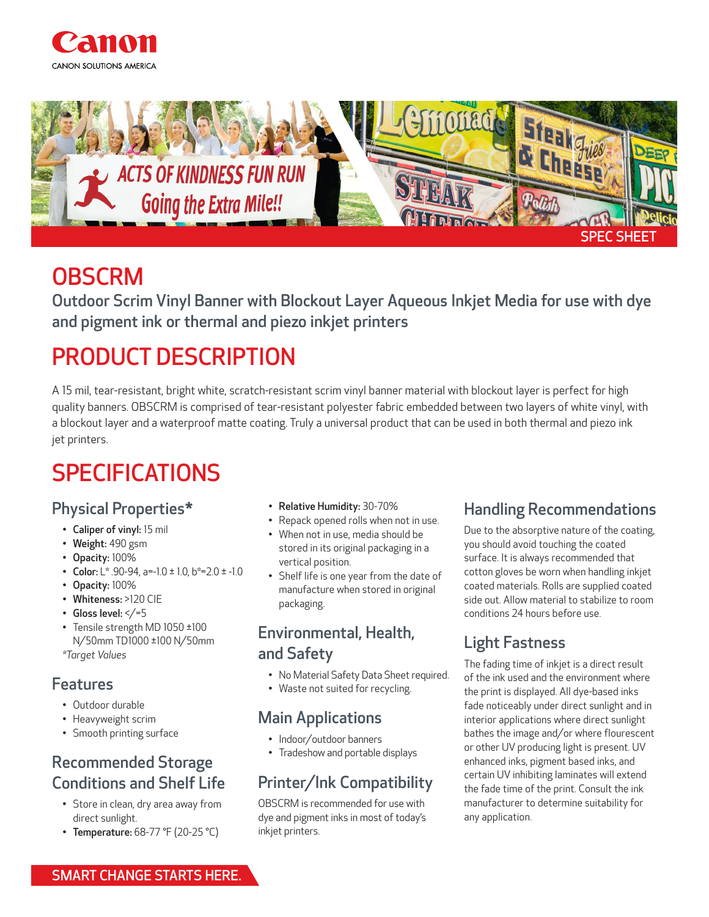



### **OBSCRM**

Outdoor Scrim Vinyl Banner with Blockout Layer Aqueous Inkjet Media for use with dye and pigment ink or thermal and piezo inkjet printers

# PRODUCT DESCRIPTION

A 15 mil, tear-resistant, bright white, scratch-resistant scrim vinyl banner material with blockout layer is perfect for high quality banners. OBSCRM is comprised of tear-resistant polyester fabric embedded between two layers of white vinyl, with a blockout layer and a waterproof matte coating. Truly a universal product that can be used in both thermal and piezo ink jet printers.

# SPECIFICATIONS

#### Physical Properties\*

- Caliper of vinyl: 15 mil
- Weight: 490 gsm
- Opacity: 100%
- Color:  $L^*$  .90-94, a=-1.0  $\pm$  1.0, b\*=2.0  $\pm$  -1.0
- Opacity: 100%
- Whiteness: >120 CIE
- Gloss level:  $\lt/=5$
- Tensile strength MD 1050 ±100 N/50mm TD1000 ±100 N/50mm *\*Target Values*

#### Features

- Outdoor durable
- Heavyweight scrim
- Smooth printing surface

### Recommended Storage Conditions and Shelf Life

- Store in clean, dry area away from direct sunlight.
- Temperature: 68-77 °F (20-25 °C)
- Relative Humidity: 30-70%
- Repack opened rolls when not in use.
- When not in use, media should be stored in its original packaging in a vertical position.
- Shelf life is one year from the date of manufacture when stored in original packaging.

#### Environmental, Health, and Safety

- No Material Safety Data Sheet required.
- Waste not suited for recycling.

#### Main Applications

- Indoor/outdoor banners
- Tradeshow and portable displays

### Printer/Ink Compatibility

OBSCRM is recommended for use with dye and pigment inks in most of today's inkjet printers.

### Handling Recommendations

Due to the absorptive nature of the coating, you should avoid touching the coated surface. It is always recommended that cotton gloves be worn when handling inkjet coated materials. Rolls are supplied coated side out. Allow material to stabilize to room conditions 24 hours before use.

### Light Fastness

The fading time of inkjet is a direct result of the ink used and the environment where the print is displayed. All dye-based inks fade noticeably under direct sunlight and in interior applications where direct sunlight bathes the image and/or where flourescent or other UV producing light is present. UV enhanced inks, pigment based inks, and certain UV inhibiting laminates will extend the fade time of the print. Consult the ink manufacturer to determine suitability for any application.